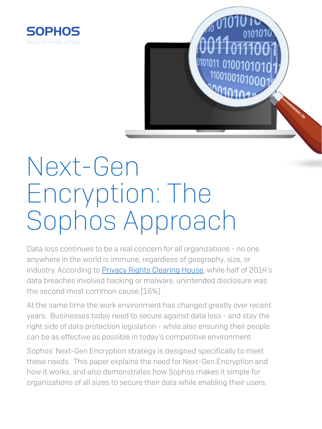

# Next-Gen Encryption: The Sophos Approach

Data loss continues to be a real concern for all organizations - no one anywhere in the world is immune, regardless of geography, size, or industry. According to **Privacy Rights Clearing House**, while half of 2014's data breaches involved hacking or malware, unintended disclosure was the second most common cause (16%).

At the same time the work environment has changed greatly over recent years. Businesses today need to secure against data loss - and stay the right side of data protection legislation - while also ensuring their people can be as effective as possible in today's competitive environment.

Sophos' Next-Gen Encryption strategy is designed specifically to meet these needs. This paper explains the need for Next-Gen Encryption and how it works, and also demonstrates how Sophos makes it simple for organizations of all sizes to secure their data while enabling their users.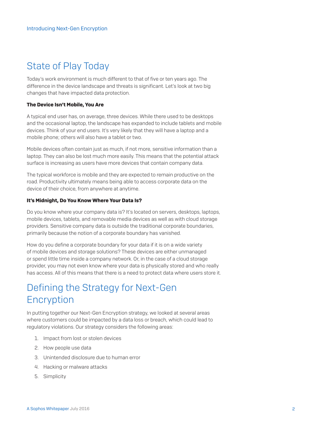## State of Play Today

Today's work environment is much different to that of five or ten years ago. The difference in the device landscape and threats is significant. Let's look at two big changes that have impacted data protection.

#### The Device Isn't Mobile, You Are

A typical end user has, on average, three devices. While there used to be desktops and the occasional laptop, the landscape has expanded to include tablets and mobile devices. Think of your end users. It's very likely that they will have a laptop and a mobile phone; others will also have a tablet or two.

Mobile devices often contain just as much, if not more, sensitive information than a laptop. They can also be lost much more easily. This means that the potential attack surface is increasing as users have more devices that contain company data.

The typical workforce is mobile and they are expected to remain productive on the road. Productivity ultimately means being able to access corporate data on the device of their choice, from anywhere at anytime.

#### It's Midnight, Do You Know Where Your Data Is?

Do you know where your company data is? It's located on servers, desktops, laptops, mobile devices, tablets, and removable media devices as well as with cloud storage providers. Sensitive company data is outside the traditional corporate boundaries, primarily because the notion of a corporate boundary has vanished.

How do you define a corporate boundary for your data if it is on a wide variety of mobile devices and storage solutions? These devices are either unmanaged or spend little time inside a company network. Or, in the case of a cloud storage provider, you may not even know where your data is physically stored and who really has access. All of this means that there is a need to protect data where users store it.

## Defining the Strategy for Next-Gen Encryption

In putting together our Next-Gen Encryption strategy, we looked at several areas where customers could be impacted by a data loss or breach, which could lead to regulatory violations. Our strategy considers the following areas:

- 1. Impact from lost or stolen devices
- 2. How people use data
- 3. Unintended disclosure due to human error
- 4. Hacking or malware attacks
- 5. Simplicity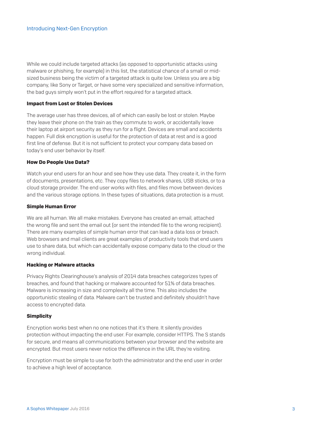While we could include targeted attacks (as opposed to opportunistic attacks using malware or phishing, for example) in this list, the statistical chance of a small or midsized business being the victim of a targeted attack is quite low. Unless you are a big company, like Sony or Target, or have some very specialized and sensitive information, the bad guys simply won't put in the effort required for a targeted attack.

#### Impact from Lost or Stolen Devices

The average user has three devices, all of which can easily be lost or stolen. Maybe they leave their phone on the train as they commute to work, or accidentally leave their laptop at airport security as they run for a flight. Devices are small and accidents happen. Full disk encryption is useful for the protection of data at rest and is a good first line of defense. But it is not sufficient to protect your company data based on today's end user behavior by itself.

#### How Do People Use Data?

Watch your end users for an hour and see how they use data. They create it, in the form of documents, presentations, etc. They copy files to network shares, USB sticks, or to a cloud storage provider. The end user works with files, and files move between devices and the various storage options. In these types of situations, data protection is a must.

#### Simple Human Error

We are all human. We all make mistakes. Everyone has created an email, attached the wrong file and sent the email out (or sent the intended file to the wrong recipient). There are many examples of simple human error that can lead a data loss or breach. Web browsers and mail clients are great examples of productivity tools that end users use to share data, but which can accidentally expose company data to the cloud or the wrong individual.

#### Hacking or Malware attacks

Privacy Rights Clearinghouse's analysis of 2014 data breaches categorizes types of breaches, and found that hacking or malware accounted for 51% of data breaches. Malware is increasing in size and complexity all the time. This also includes the opportunistic stealing of data. Malware can't be trusted and definitely shouldn't have access to encrypted data.

#### **Simplicity**

Encryption works best when no one notices that it's there. It silently provides protection without impacting the end user. For example, consider HTTPS. The S stands for secure, and means all communications between your browser and the website are encrypted. But most users never notice the difference in the URL they're visiting.

Encryption must be simple to use for both the administrator and the end user in order to achieve a high level of acceptance.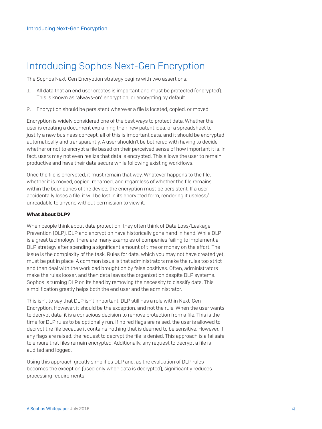## Introducing Sophos Next-Gen Encryption

The Sophos Next-Gen Encryption strategy begins with two assertions:

- 1. All data that an end user creates is important and must be protected (encrypted). This is known as "always-on" encryption, or encrypting by default.
- 2. Encryption should be persistent wherever a file is located, copied, or moved.

Encryption is widely considered one of the best ways to protect data. Whether the user is creating a document explaining their new patent idea, or a spreadsheet to justify a new business concept, all of this is important data, and it should be encrypted automatically and transparently. A user shouldn't be bothered with having to decide whether or not to encrypt a file based on their perceived sense of how important it is. In fact, users may not even realize that data is encrypted. This allows the user to remain productive and have their data secure while following existing workflows.

Once the file is encrypted, it must remain that way. Whatever happens to the file, whether it is moved, copied, renamed, and regardless of whether the file remains within the boundaries of the device, the encryption must be persistent. If a user accidentally loses a file, it will be lost in its encrypted form, rendering it useless/ unreadable to anyone without permission to view it.

#### What About DLP?

When people think about data protection, they often think of Data Loss/Leakage Prevention (DLP). DLP and encryption have historically gone hand in hand. While DLP is a great technology, there are many examples of companies failing to implement a DLP strategy after spending a significant amount of time or money on the effort. The issue is the complexity of the task. Rules for data, which you may not have created yet, must be put in place. A common issue is that administrators make the rules too strict and then deal with the workload brought on by false positives. Often, administrators make the rules looser, and then data leaves the organization despite DLP systems. Sophos is turning DLP on its head by removing the necessity to classify data. This simplification greatly helps both the end user and the administrator.

This isn't to say that DLP isn't important. DLP still has a role within Next-Gen Encryption. However, it should be the exception, and not the rule. When the user wants to decrypt data, it is a conscious decision to remove protection from a file. This is the time for DLP rules to be optionally run. If no red flags are raised, the user is allowed to decrypt the file because it contains nothing that is deemed to be sensitive. However, if any flags are raised, the request to decrypt the file is denied. This approach is a failsafe to ensure that files remain encrypted. Additionally, any request to decrypt a file is audited and logged.

Using this approach greatly simplifies DLP and, as the evaluation of DLP rules becomes the exception (used only when data is decrypted), significantly reduces processing requirements.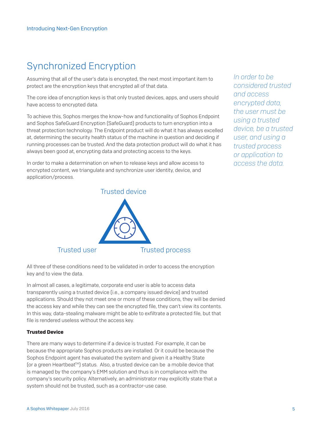## Synchronized Encryption

Assuming that all of the user's data is encrypted, the next most important item to protect are the encryption keys that encrypted all of that data.

The core idea of encryption keys is that only trusted devices, apps, and users should have access to encrypted data.

To achieve this, Sophos merges the know-how and functionality of Sophos Endpoint and Sophos SafeGuard Encryption (SafeGuard) products to turn encryption into a threat protection technology. The Endpoint product will do what it has always excelled at, determining the security health status of the machine in question and deciding if running processes can be trusted. And the data protection product will do what it has always been good at, encrypting data and protecting access to the keys.

In order to make a determination on when to release keys and allow access to encrypted content, we triangulate and synchronize user identity, device, and application/process.



All three of these conditions need to be validated in order to access the encryption key and to view the data.

In almost all cases, a legitimate, corporate end user is able to access data transparently using a trusted device (i.e., a company issued device) and trusted applications. Should they not meet one or more of these conditions, they will be denied the access key and while they can see the encrypted file, they can't view its contents. In this way, data-stealing malware might be able to exfiltrate a protected file, but that file is rendered useless without the access key.

### Trusted Device

There are many ways to determine if a device is trusted. For example, it can be because the appropriate Sophos products are installed. Or it could be because the Sophos Endpoint agent has evaluated the system and given it a Healthy State [or a green Heartbeat™] status. Also, a trusted device can be a mobile device that is managed by the company's EMM solution and thus is in compliance with the company's security policy. Alternatively, an administrator may explicitly state that a system should not be trusted, such as a contractor-use case.

*In order to be considered trusted and access encrypted data, the user must be using a trusted device, be a trusted user, and using a trusted process or application to access the data.*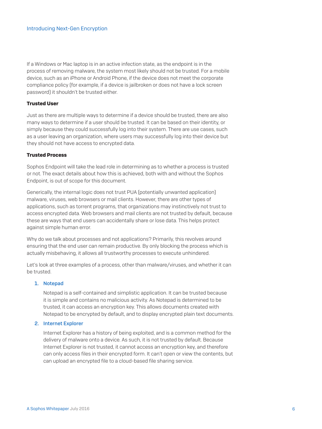If a Windows or Mac laptop is in an active infection state, as the endpoint is in the process of removing malware, the system most likely should not be trusted. For a mobile device, such as an iPhone or Android Phone, if the device does not meet the corporate compliance policy (for example, if a device is jailbroken or does not have a lock screen password) it shouldn't be trusted either.

#### Trusted User

Just as there are multiple ways to determine if a device should be trusted, there are also many ways to determine if a user should be trusted. It can be based on their identity, or simply because they could successfully log into their system. There are use cases, such as a user leaving an organization, where users may successfully log into their device but they should not have access to encrypted data.

#### Trusted Process

Sophos Endpoint will take the lead role in determining as to whether a process is trusted or not. The exact details about how this is achieved, both with and without the Sophos Endpoint, is out of scope for this document.

Generically, the internal logic does not trust PUA (potentially unwanted application) malware, viruses, web browsers or mail clients. However, there are other types of applications, such as torrent programs, that organizations may instinctively not trust to access encrypted data. Web browsers and mail clients are not trusted by default, because these are ways that end users can accidentally share or lose data. This helps protect against simple human error.

Why do we talk about processes and not applications? Primarily, this revolves around ensuring that the end user can remain productive. By only blocking the process which is actually misbehaving, it allows all trustworthy processes to execute unhindered.

Let's look at three examples of a process, other than malware/viruses, and whether it can be trusted.

#### 1. Notepad

Notepad is a self-contained and simplistic application. It can be trusted because it is simple and contains no malicious activity. As Notepad is determined to be trusted, it can access an encryption key. This allows documents created with Notepad to be encrypted by default, and to display encrypted plain text documents.

#### 2. Internet Explorer

Internet Explorer has a history of being exploited, and is a common method for the delivery of malware onto a device. As such, it is not trusted by default. Because Internet Explorer is not trusted, it cannot access an encryption key, and therefore can only access files in their encrypted form. It can't open or view the contents, but can upload an encrypted file to a cloud-based file sharing service.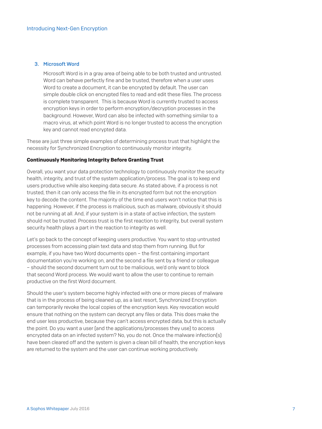#### 3. Microsoft Word

Microsoft Word is in a gray area of being able to be both trusted and untrusted. Word can behave perfectly fine and be trusted, therefore when a user uses Word to create a document, it can be encrypted by default. The user can simple double click on encrypted files to read and edit these files. The process is complete transparent. This is because Word is currently trusted to access encryption keys in order to perform encryption/decryption processes in the background. However, Word can also be infected with something similar to a macro virus, at which point Word is no longer trusted to access the encryption key and cannot read encrypted data.

These are just three simple examples of determining process trust that highlight the necessity for Synchronized Encryption to continuously monitor integrity.

#### Continuously Monitoring Integrity Before Granting Trust

Overall, you want your data protection technology to continuously monitor the security health, integrity, and trust of the system application/process. The goal is to keep end users productive while also keeping data secure. As stated above, if a process is not trusted, then it can only access the file in its encrypted form but not the encryption key to decode the content. The majority of the time end users won't notice that this is happening. However, if the process is malicious, such as malware, obviously it should not be running at all. And, if your system is in a state of active infection, the system should not be trusted. Process trust is the first reaction to integrity, but overall system security health plays a part in the reaction to integrity as well.

Let's go back to the concept of keeping users productive. You want to stop untrusted processes from accessing plain text data and stop them from running. But for example, if you have two Word documents open – the first containing important documentation you're working on, and the second a file sent by a friend or colleague – should the second document turn out to be malicious, we'd only want to block that second Word process. We would want to allow the user to continue to remain productive on the first Word document.

Should the user's system become highly infected with one or more pieces of malware that is in the process of being cleaned up, as a last resort, Synchronized Encryption can temporarily revoke the local copies of the encryption keys. Key revocation would ensure that nothing on the system can decrypt any files or data. This does make the end user less productive, because they can't access encrypted data, but this is actually the point. Do you want a user (and the applications/processes they use) to access encrypted data on an infected system? No, you do not. Once the malware infection(s) have been cleared off and the system is given a clean bill of health, the encryption keys are returned to the system and the user can continue working productively.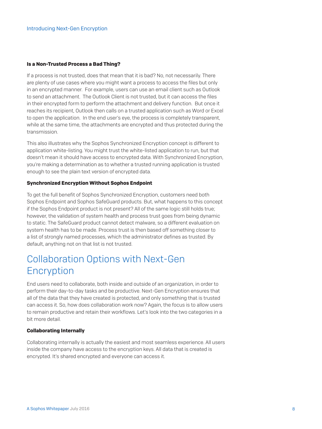#### Is a Non-Trusted Process a Bad Thing?

If a process is not trusted, does that mean that it is bad? No, not necessarily. There are plenty of use cases where you might want a process to access the files but only in an encrypted manner. For example, users can use an email client such as Outlook to send an attachment. The Outlook Client is not trusted, but it can access the files in their encrypted form to perform the attachment and delivery function. But once it reaches its recipient, Outlook then calls on a trusted application such as Word or Excel to open the application. In the end user's eye, the process is completely transparent, while at the same time, the attachments are encrypted and thus protected during the transmission.

This also illustrates why the Sophos Synchronized Encryption concept is different to application white-listing. You might trust the white-listed application to run, but that doesn't mean it should have access to encrypted data. With Synchronized Encryption, you're making a determination as to whether a trusted running application is trusted enough to see the plain text version of encrypted data.

#### Synchronized Encryption Without Sophos Endpoint

To get the full benefit of Sophos Synchronized Encryption, customers need both Sophos Endpoint and Sophos SafeGuard products. But, what happens to this concept if the Sophos Endpoint product is not present? All of the same logic still holds true; however, the validation of system health and process trust goes from being dynamic to static. The SafeGuard product cannot detect malware, so a different evaluation on system health has to be made. Process trust is then based off something closer to a list of strongly named processes, which the administrator defines as trusted. By default, anything not on that list is not trusted.

## Collaboration Options with Next-Gen **Encryption**

End users need to collaborate, both inside and outside of an organization, in order to perform their day-to-day tasks and be productive. Next-Gen Encryption ensures that all of the data that they have created is protected, and only something that is trusted can access it. So, how does collaboration work now? Again, the focus is to allow users to remain productive and retain their workflows. Let's look into the two categories in a bit more detail.

#### Collaborating Internally

Collaborating internally is actually the easiest and most seamless experience. All users inside the company have access to the encryption keys. All data that is created is encrypted. It's shared encrypted and everyone can access it.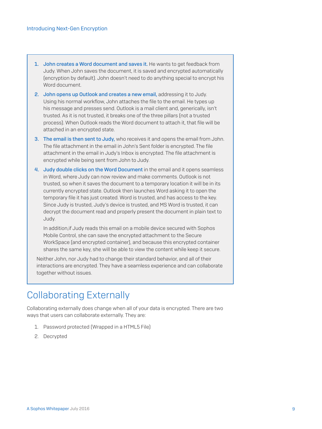- 1. John creates a Word document and saves it. He wants to get feedback from Judy. When John saves the document, it is saved and encrypted automatically (encryption by default). John doesn't need to do anything special to encrypt his Word document.
- 2. John opens up Outlook and creates a new email, addressing it to Judy. Using his normal workflow, John attaches the file to the email. He types up his message and presses send. Outlook is a mail client and, generically, isn't trusted. As it is not trusted, it breaks one of the three pillars (not a trusted process). When Outlook reads the Word document to attach it, that file will be attached in an encrypted state.
- 3. The email is then sent to Judy, who receives it and opens the email from John. The file attachment in the email in John's Sent folder is encrypted. The file attachment in the email in Judy's Inbox is encrypted. The file attachment is encrypted while being sent from John to Judy.
- 4. Judy double clicks on the Word Document in the email and it opens seamless in Word, where Judy can now review and make comments. Outlook is not trusted, so when it saves the document to a temporary location it will be in its currently encrypted state. Outlook then launches Word asking it to open the temporary file it has just created. Word is trusted, and has access to the key. Since Judy is trusted, Judy's device is trusted, and MS Word is trusted, it can decrypt the document read and properly present the document in plain text to Judy.

In addition,if Judy reads this email on a mobile device secured with Sophos Mobile Control, she can save the encrypted attachment to the Secure WorkSpace (and encrypted container), and because this encrypted container shares the same key, she will be able to view the content while keep it secure.

Neither John, nor Judy had to change their standard behavior, and all of their interactions are encrypted. They have a seamless experience and can collaborate together without issues.

## Collaborating Externally

Collaborating externally does change when all of your data is encrypted. There are two ways that users can collaborate externally. They are:

- 1. Password protected (Wrapped in a HTML5 File)
- 2. Decrypted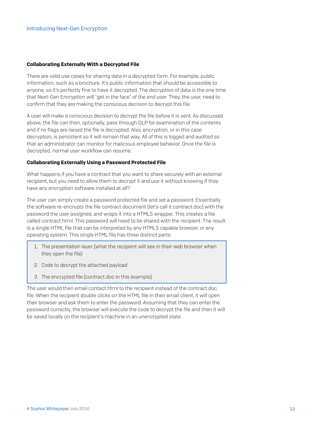#### Collaborating Externally With a Decrypted File

There are valid use cases for sharing data in a decrypted form. For example, public information, such as a brochure. It's public information that should be accessible to anyone, so it's perfectly fine to have it decrypted. The decryption of data is the one time that Next-Gen Encryption will "get in the face" of the end user. They, the user, need to confirm that they are making the conscious decision to decrypt this file.

A user will make a conscious decision to decrypt the file before it is sent. As discussed above, the file can then, optionally, pass through DLP for examination of the contents and if no flags are raised the file is decrypted. Also, encryption, or in this case decryption, is persistent so it will remain that way. All of this is logged and audited so that an administrator can monitor for malicious employee behavior. Once the file is decrypted, normal user workflow can resume.

#### Collaborating Externally Using a Password Protected File

What happens if you have a contract that you want to share securely with an external recipient, but you need to allow them to decrypt it and use it without knowing if they have any encryption software installed at all?

The user can simply create a password protected file and set a password. Essentially, the software re-encrypts the file contract document (let's call it contract.doc) with the password the user assigned, and wraps it into a HTML5 wrapper. This creates a file called contract.html. This password will need to be shared with the recipient. The result is a single HTML file that can be interpreted by any HTML5 capable browser, or any operating system. This single HTML file has three distinct parts:

- 1. The presentation layer (what the recipient will see in their web browser when they open the file)
- 2. Code to decrypt the attached payload
- 3. The encrypted file (contract.doc in this example)

The user would then email contact.html to the recipient instead of the contract.doc file. When the recipient double clicks on the HTML file in their email client, it will open their browser and ask them to enter the password. Assuming that they can enter the password correctly, the browser will execute the code to decrypt the file and then it will be saved locally on the recipient's machine in an unencrypted state.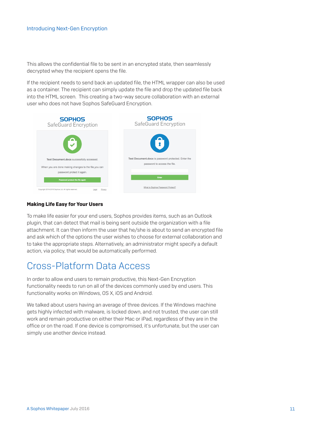This allows the confidential file to be sent in an encrypted state, then seamlessly decrypted whey the recipient opens the file.

If the recipient needs to send back an updated file, the HTML wrapper can also be used as a container. The recipient can simply update the file and drop the updated file back into the HTML screen. This creating a two-way secure collaboration with an external user who does not have Sophos SafeGuard Encryption.



#### Making Life Easy for Your Users

To make life easier for your end users, Sophos provides items, such as an Outlook plugin, that can detect that mail is being sent outside the organization with a file attachment. It can then inform the user that he/she is about to send an encrypted file and ask which of the options the user wishes to choose for external collaboration and to take the appropriate steps. Alternatively, an administrator might specify a default action, via policy, that would be automatically performed.

## Cross-Platform Data Access

In order to allow end users to remain productive, this Next-Gen Encryption functionality needs to run on all of the devices commonly used by end users. This functionality works on Windows, OS X, iOS and Android.

We talked about users having an average of three devices. If the Windows machine gets highly infected with malware, is locked down, and not trusted, the user can still work and remain productive on either their Mac or iPad, regardless of they are in the office or on the road. If one device is compromised, it's unfortunate, but the user can simply use another device instead.